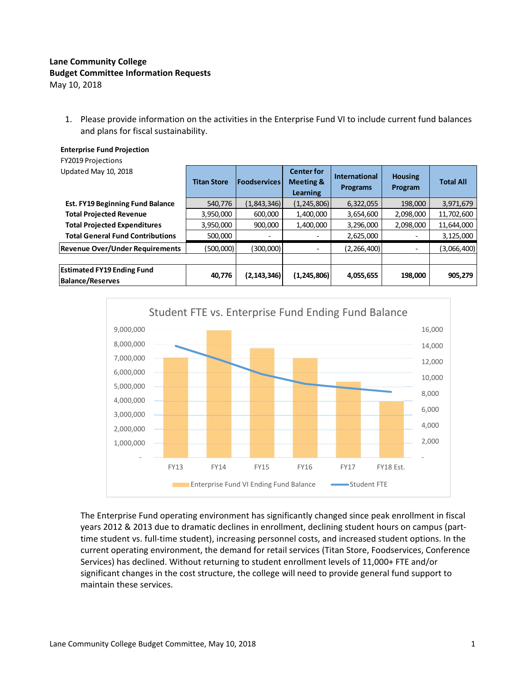## **Lane Community College Budget Committee Information Requests**

**Enterprise Fund Projection**

May 10, 2018

1. Please provide information on the activities in the Enterprise Fund VI to include current fund balances and plans for fiscal sustainability.

| <b>FY2019 Projections</b>                                    |                                           |               |                                                       |                                         |                           |                  |
|--------------------------------------------------------------|-------------------------------------------|---------------|-------------------------------------------------------|-----------------------------------------|---------------------------|------------------|
| Updated May 10, 2018                                         | <b>Foodservices</b><br><b>Titan Store</b> |               | <b>Center for</b><br><b>Meeting &amp;</b><br>Learning | <b>International</b><br><b>Programs</b> | <b>Housing</b><br>Program | <b>Total All</b> |
| <b>Est. FY19 Beginning Fund Balance</b>                      | 540,776                                   | (1,843,346)   | (1, 245, 806)                                         | 6,322,055                               | 198,000                   | 3,971,679        |
| <b>Total Projected Revenue</b>                               | 3,950,000                                 | 600,000       | 1,400,000                                             | 3,654,600                               | 2,098,000                 | 11,702,600       |
| <b>Total Projected Expenditures</b>                          | 3,950,000                                 | 900,000       | 1,400,000                                             | 3,296,000                               | 2,098,000                 | 11,644,000       |
| <b>Total General Fund Contributions</b>                      | 500,000                                   |               |                                                       | 2,625,000                               |                           | 3,125,000        |
| <b>Revenue Over/Under Requirements</b>                       | (500,000)                                 | (300,000)     | -                                                     | (2, 266, 400)                           | -                         | (3,066,400)      |
| <b>Estimated FY19 Ending Fund</b><br><b>Balance/Reserves</b> | 40,776                                    | (2, 143, 346) | (1, 245, 806)                                         | 4,055,655                               | 198,000                   | 905,279          |



The Enterprise Fund operating environment has significantly changed since peak enrollment in fiscal years 2012 & 2013 due to dramatic declines in enrollment, declining student hours on campus (part‐ time student vs. full-time student), increasing personnel costs, and increased student options. In the current operating environment, the demand for retail services (Titan Store, Foodservices, Conference Services) has declined. Without returning to student enrollment levels of 11,000+ FTE and/or significant changes in the cost structure, the college will need to provide general fund support to maintain these services.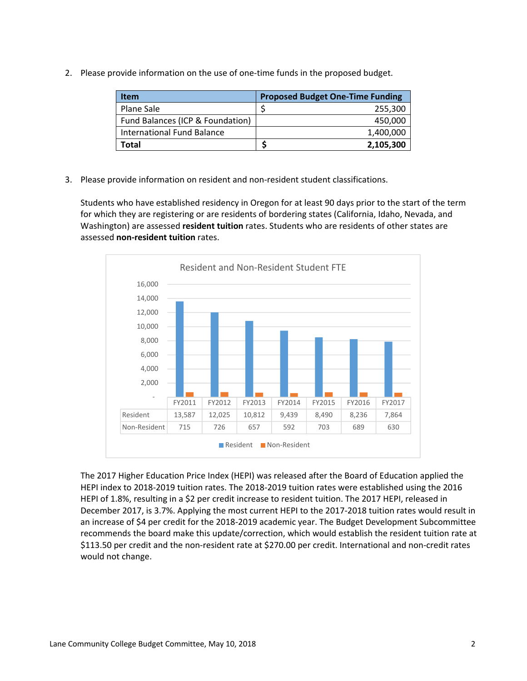2. Please provide information on the use of one-time funds in the proposed budget.

| <b>Item</b>                      | <b>Proposed Budget One-Time Funding</b> |
|----------------------------------|-----------------------------------------|
| Plane Sale                       | 255,300                                 |
| Fund Balances (ICP & Foundation) | 450,000                                 |
| International Fund Balance       | 1,400,000                               |
| Total                            | 2,105,300                               |

3. Please provide information on resident and non-resident student classifications.

Students who have established residency in Oregon for at least 90 days prior to the start of the term for which they are registering or are residents of bordering states (California, Idaho, Nevada, and Washington) are assessed **resident tuition** rates. Students who are residents of other states are assessed **non‐resident tuition** rates.



The 2017 Higher Education Price Index (HEPI) was released after the Board of Education applied the HEPI index to 2018‐2019 tuition rates. The 2018‐2019 tuition rates were established using the 2016 HEPI of 1.8%, resulting in a \$2 per credit increase to resident tuition. The 2017 HEPI, released in December 2017, is 3.7%. Applying the most current HEPI to the 2017‐2018 tuition rates would result in an increase of \$4 per credit for the 2018‐2019 academic year. The Budget Development Subcommittee recommends the board make this update/correction, which would establish the resident tuition rate at \$113.50 per credit and the non‐resident rate at \$270.00 per credit. International and non‐credit rates would not change.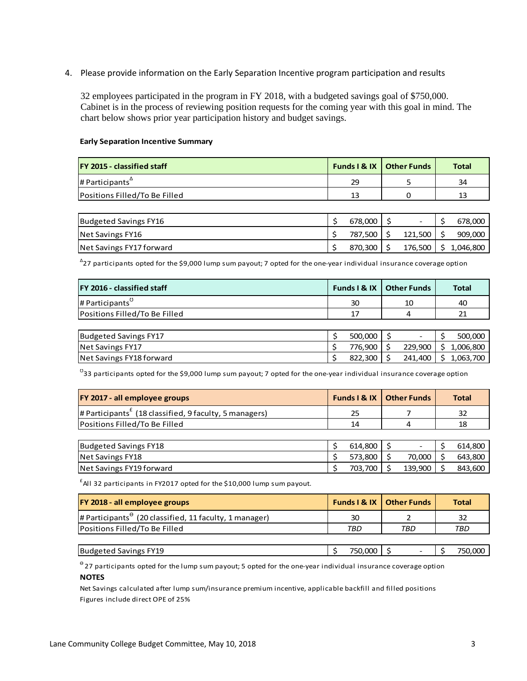4. Please provide information on the Early Separation Incentive program participation and results

32 employees participated in the program in FY 2018, with a budgeted savings goal of \$750,000. Cabinet is in the process of reviewing position requests for the coming year with this goal in mind. The chart below shows prior year participation history and budget savings.

## **Early Separation Incentive Summary**

| <b>FY 2015 - classified staff</b>                 | <b>Funds I &amp; IX   Other Funds</b> | Total |
|---------------------------------------------------|---------------------------------------|-------|
| $\mu$ Participants <sup><math>\Delta</math></sup> | 29                                    | 34    |
| Positions Filled/To Be Filled                     | 13                                    |       |

| Budgeted Savings FY16    | 678.000 | -       | 678,000   |
|--------------------------|---------|---------|-----------|
| Net Savings FY16         | 787,500 | 121.500 | 909,000   |
| Net Savings FY17 forward | 870.300 | 176.500 | 1,046,800 |

∆ 27 participants opted for the \$9,000 lump sum payout; 7 opted for the one‐year individual insurance coverage option

| <b>IFY 2016 - classified staff</b> | Funds I & IX | <b>Other Funds</b> |    | <b>Total</b> |
|------------------------------------|--------------|--------------------|----|--------------|
| $\mu$ Participants <sup>U</sup>    | 30           | 10                 |    | 40           |
| Positions Filled/To Be Filled      | 17           | 4                  |    | 21           |
|                                    |              |                    |    |              |
| Budgeted Savings FY17              | 500,000      |                    |    | 500,000      |
| Net Savings FY17                   | 776,900      | 229,900            | S. | 1,006,800    |
| Net Savings FY18 forward           | 822,300      | 241,400            |    | 1,063,700    |

 $^{\text{\tiny{U}}}$ 33 participants opted for the \$9,000 lump sum payout; 7 opted for the one-year individual insurance coverage option

| <b>FY 2017 - all employee groups</b>                                              | <b>Funds I &amp; IX   Other Funds</b> |        | <b>Total</b> |
|-----------------------------------------------------------------------------------|---------------------------------------|--------|--------------|
| $#$ Participants <sup><math>t</math></sup> (18 classified, 9 faculty, 5 managers) | 25                                    |        | 32           |
| Positions Filled/To Be Filled                                                     | 14                                    |        | 18           |
|                                                                                   |                                       |        |              |
| Budgeted Savings FY18                                                             | 614.800                               |        | 614,800      |
| Net Savings FY18                                                                  | 573,800                               | 70.000 | 643,800      |

Net Savings FY19 forward  $\begin{array}{c|c|c|c|c|c|c|c|c} \hline \text{843,600} & \text{843,600} \hline \end{array}$ 

 $^{\text{f}}$ All 32 participants in FY2017 opted for the \$10,000 lump sum payout.

| <b>FY 2018 - all employee groups</b>                           |         | <b>Funds I &amp; IX   Other Funds</b> | <b>Total</b> |
|----------------------------------------------------------------|---------|---------------------------------------|--------------|
| # Participants $\theta$ (20 classified, 11 faculty, 1 manager) | 30      |                                       | 32           |
| Positions Filled/To Be Filled                                  | TBD     | TBD                                   | TBD          |
|                                                                |         |                                       |              |
| Budgeted Savings FY19                                          | 750.000 |                                       | 750,000      |

**NOTES**  $^{\circ}$  27 participants opted for the lump sum payout; 5 opted for the one-year individual insurance coverage option

Figures include direct OPE of 25% Net Savings calculated after lump sum/insurance premium incentive, applicable backfill and filled positions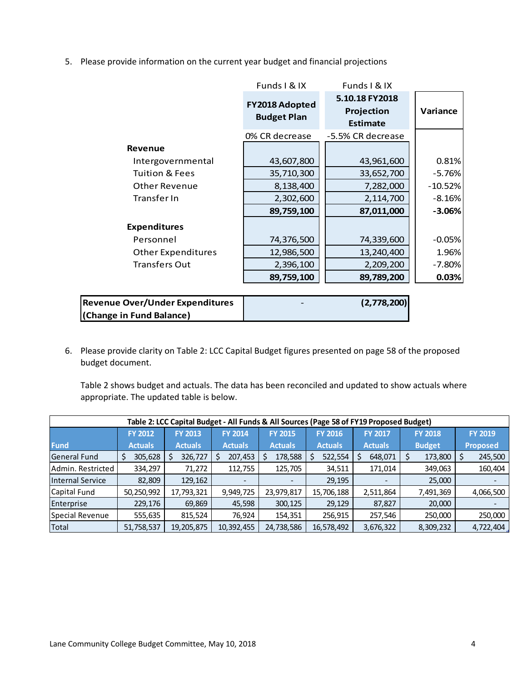5. Please provide information on the current year budget and financial projections

|                           | <b>FY2018 Adopted</b><br><b>Budget Plan</b> | 5.10.18 FY2018<br>Projection<br><b>Estimate</b> | Variance  |
|---------------------------|---------------------------------------------|-------------------------------------------------|-----------|
|                           | 0% CR decrease                              | -5.5% CR decrease                               |           |
| <b>Revenue</b>            |                                             |                                                 |           |
| Intergovernmental         | 43,607,800                                  | 43,961,600                                      | 0.81%     |
| <b>Tuition &amp; Fees</b> | 35,710,300                                  | 33,652,700                                      | $-5.76%$  |
| <b>Other Revenue</b>      | 8,138,400                                   | 7,282,000                                       | $-10.52%$ |
| Transfer In               | 2,302,600                                   | 2,114,700                                       | $-8.16%$  |
|                           | 89,759,100                                  | 87,011,000                                      | $-3.06%$  |
| <b>Expenditures</b>       |                                             |                                                 |           |
| Personnel                 | 74,376,500                                  | 74,339,600                                      | $-0.05%$  |
| <b>Other Expenditures</b> | 12,986,500                                  | 13,240,400                                      | 1.96%     |
| <b>Transfers Out</b>      | 2,396,100                                   | 2,209,200                                       | $-7.80%$  |
|                           | 89,759,100                                  | 89,789,200                                      | 0.03%     |

| <b>Revenue Over/Under Expenditures</b> | $\overline{\phantom{0}}$ | (2,778,200) |
|----------------------------------------|--------------------------|-------------|
| (Change in Fund Balance)               |                          |             |

6. Please provide clarity on Table 2: LCC Capital Budget figures presented on page 58 of the proposed budget document.

Table 2 shows budget and actuals. The data has been reconciled and updated to show actuals where appropriate. The updated table is below.

| Table 2: LCC Capital Budget - All Funds & All Sources (Page 58 of FY19 Proposed Budget) |                |                |                |                |                |                |                |                 |
|-----------------------------------------------------------------------------------------|----------------|----------------|----------------|----------------|----------------|----------------|----------------|-----------------|
|                                                                                         | <b>FY 2012</b> | <b>FY 2013</b> | <b>FY 2014</b> | <b>FY 2015</b> | <b>FY 2016</b> | <b>FY 2017</b> | <b>FY 2018</b> | <b>FY 2019</b>  |
| <b>Fund</b>                                                                             | <b>Actuals</b> | <b>Actuals</b> | <b>Actuals</b> | <b>Actuals</b> | <b>Actuals</b> | <b>Actuals</b> | <b>Budget</b>  | <b>Proposed</b> |
| <b>General Fund</b>                                                                     | 305,628        | 326,727        | 207,453<br>S   | 178,588        | 522,554        | 648,071        | 173,800        | 245,500         |
| Admin. Restricted                                                                       | 334,297        | 71,272         | 112,755        | 125,705        | 34,511         | 171,014        | 349,063        | 160,404         |
| Internal Service                                                                        | 82,809         | 129,162        |                |                | 29,195         |                | 25,000         |                 |
| Capital Fund                                                                            | 50,250,992     | 17,793,321     | 9,949,725      | 23,979,817     | 15,706,188     | 2,511,864      | 7,491,369      | 4,066,500       |
| Enterprise                                                                              | 229,176        | 69,869         | 45,598         | 300,125        | 29,129         | 87,827         | 20,000         |                 |
| Special Revenue                                                                         | 555,635        | 815,524        | 76,924         | 154,351        | 256,915        | 257,546        | 250,000        | 250,000         |
| Total                                                                                   | 51,758,537     | 19,205,875     | 10,392,455     | 24,738,586     | 16,578,492     | 3,676,322      | 8,309,232      | 4,722,404       |